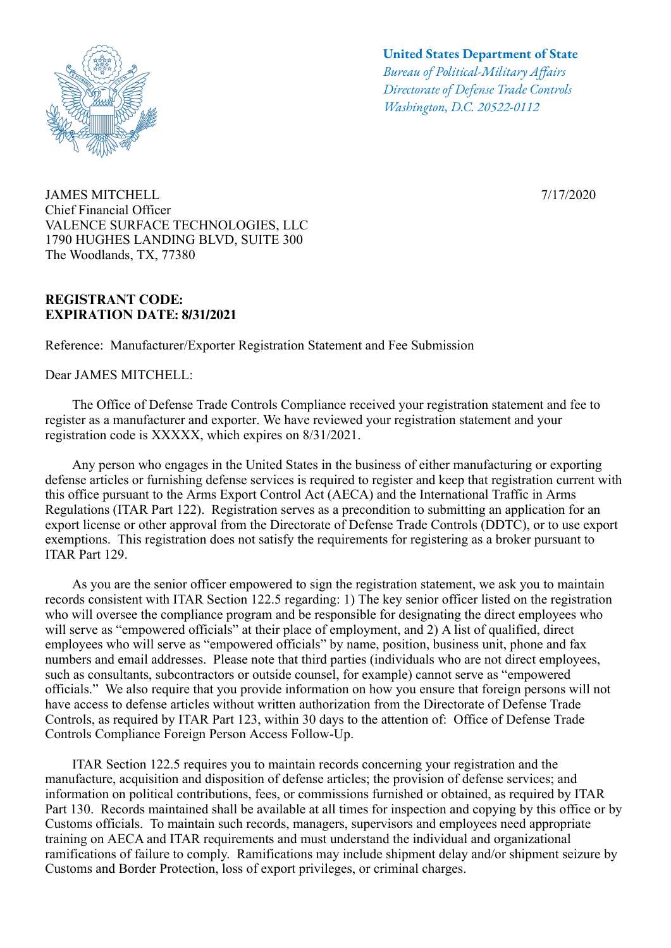

JAMES MITCHELL Chief Financial Officer VALENCE SURFACE TECHNOLOGIES, LLC 1790 HUGHES LANDING BLVD, SUITE 300 The Woodlands, TX, 77380

## **REGISTRANT CODE: EXPIRATION DATE: 8/31/2021**

Reference: Manufacturer/Exporter Registration Statement and Fee Submission

Dear JAMES MITCHELL:

## **United States Department of State**

*Bureau of Political-Military Afairs Directorate of Defense Trade Controls Washington, D.C. 20522-0112*

7/17/2020

 The Office of Defense Trade Controls Compliance received your registration statement and fee to register as a manufacturer and exporter. We have reviewed your registration statement and your registration code is XXXXX, which expires on 8/31/2021.

 Any person who engages in the United States in the business of either manufacturing or exporting defense articles or furnishing defense services is required to register and keep that registration current with this office pursuant to the Arms Export Control Act (AECA) and the International Traffic in Arms Regulations (ITAR Part 122). Registration serves as a precondition to submitting an application for an export license or other approval from the Directorate of Defense Trade Controls (DDTC), or to use export exemptions. This registration does not satisfy the requirements for registering as a broker pursuant to ITAR Part 129.

 As you are the senior officer empowered to sign the registration statement, we ask you to maintain records consistent with ITAR Section 122.5 regarding: 1) The key senior officer listed on the registration who will oversee the compliance program and be responsible for designating the direct employees who will serve as "empowered officials" at their place of employment, and 2) A list of qualified, direct employees who will serve as "empowered officials" by name, position, business unit, phone and fax numbers and email addresses. Please note that third parties (individuals who are not direct employees, such as consultants, subcontractors or outside counsel, for example) cannot serve as "empowered officials." We also require that you provide information on how you ensure that foreign persons will not have access to defense articles without written authorization from the Directorate of Defense Trade Controls, as required by ITAR Part 123, within 30 days to the attention of: Office of Defense Trade Controls Compliance Foreign Person Access Follow-Up.

 ITAR Section 122.5 requires you to maintain records concerning your registration and the manufacture, acquisition and disposition of defense articles; the provision of defense services; and information on political contributions, fees, or commissions furnished or obtained, as required by ITAR Part 130. Records maintained shall be available at all times for inspection and copying by this office or by Customs officials. To maintain such records, managers, supervisors and employees need appropriate training on AECA and ITAR requirements and must understand the individual and organizational ramifications of failure to comply. Ramifications may include shipment delay and/or shipment seizure by Customs and Border Protection, loss of export privileges, or criminal charges.